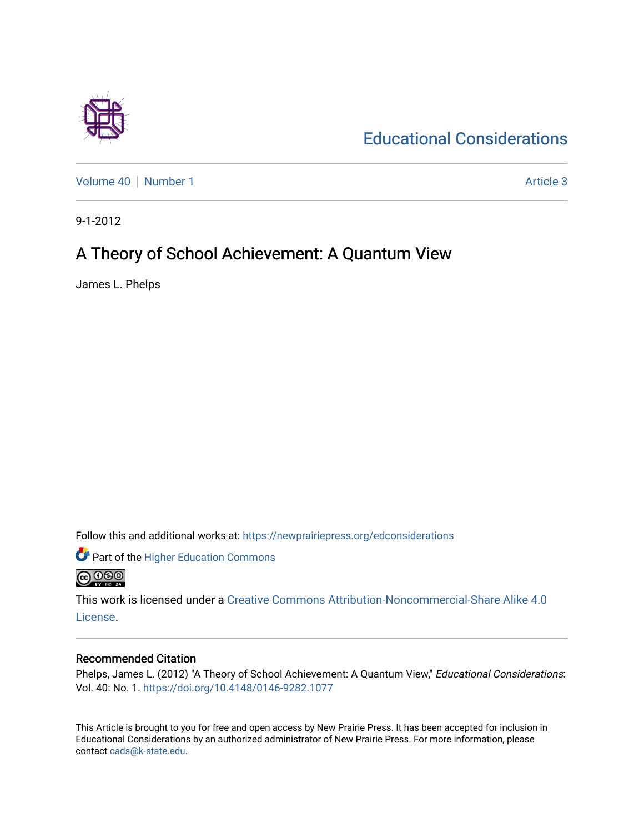

[Educational Considerations](https://newprairiepress.org/edconsiderations) 

[Volume 40](https://newprairiepress.org/edconsiderations/vol40) [Number 1](https://newprairiepress.org/edconsiderations/vol40/iss1) Article 3

9-1-2012

# A Theory of School Achievement: A Quantum View

James L. Phelps

Follow this and additional works at: [https://newprairiepress.org/edconsiderations](https://newprairiepress.org/edconsiderations?utm_source=newprairiepress.org%2Fedconsiderations%2Fvol40%2Fiss1%2F3&utm_medium=PDF&utm_campaign=PDFCoverPages) 



This work is licensed under a [Creative Commons Attribution-Noncommercial-Share Alike 4.0](https://creativecommons.org/licenses/by-nc-sa/4.0/) [License.](https://creativecommons.org/licenses/by-nc-sa/4.0/)

# Recommended Citation

Phelps, James L. (2012) "A Theory of School Achievement: A Quantum View," Educational Considerations: Vol. 40: No. 1.<https://doi.org/10.4148/0146-9282.1077>

This Article is brought to you for free and open access by New Prairie Press. It has been accepted for inclusion in Educational Considerations by an authorized administrator of New Prairie Press. For more information, please contact [cads@k-state.edu](mailto:cads@k-state.edu).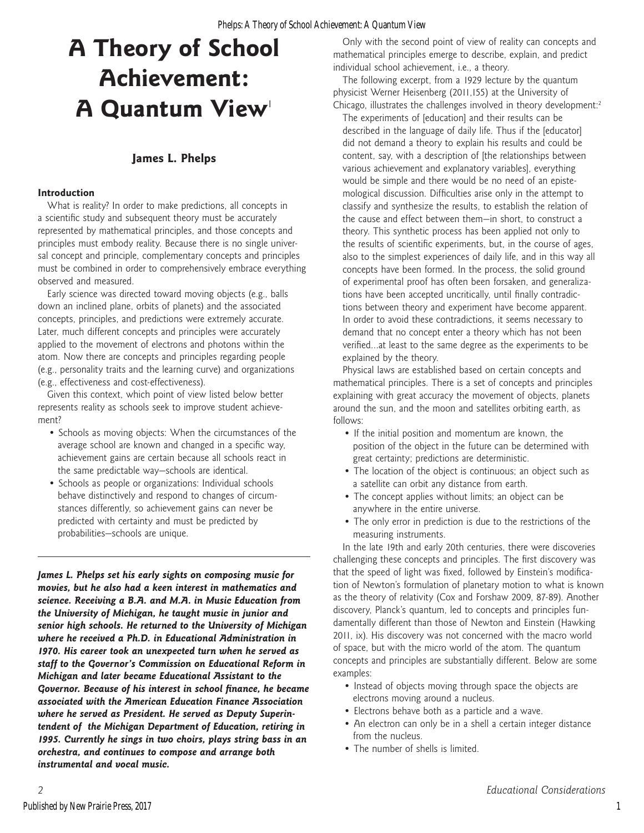# **James L. Phelps**

#### **Introduction**

What is reality? In order to make predictions, all concepts in a scientific study and subsequent theory must be accurately represented by mathematical principles, and those concepts and principles must embody reality. Because there is no single universal concept and principle, complementary concepts and principles must be combined in order to comprehensively embrace everything observed and measured.

Early science was directed toward moving objects (e.g., balls down an inclined plane, orbits of planets) and the associated concepts, principles, and predictions were extremely accurate. Later, much different concepts and principles were accurately applied to the movement of electrons and photons within the atom. Now there are concepts and principles regarding people (e.g., personality traits and the learning curve) and organizations (e.g., effectiveness and cost-effectiveness).

Given this context, which point of view listed below better represents reality as schools seek to improve student achievement?

- Schools as moving objects: When the circumstances of the average school are known and changed in a specific way, achievement gains are certain because all schools react in the same predictable way—schools are identical.
- Schools as people or organizations: Individual schools behave distinctively and respond to changes of circumstances differently, so achievement gains can never be predicted with certainty and must be predicted by probabilities—schools are unique.

*James L. Phelps set his early sights on composing music for movies, but he also had a keen interest in mathematics and science. Receiving a B.A. and M.A. in Music Education from the University of Michigan, he taught music in junior and senior high schools. He returned to the University of Michigan where he received a Ph.D. in Educational Administration in 1970. His career took an unexpected turn when he served as staff to the Governor's Commission on Educational Reform in Michigan and later became Educational Assistant to the Governor. Because of his interest in school finance, he became associated with the American Education Finance Association where he served as President. He served as Deputy Superintendent of the Michigan Department of Education, retiring in 1995. Currently he sings in two choirs, plays string bass in an orchestra, and continues to compose and arrange both instrumental and vocal music.*

Only with the second point of view of reality can concepts and mathematical principles emerge to describe, explain, and predict individual school achievement, i.e., a theory.

The following excerpt, from a 1929 lecture by the quantum physicist Werner Heisenberg (2011,155) at the University of Chicago, illustrates the challenges involved in theory development: $2$ 

The experiments of [education] and their results can be described in the language of daily life. Thus if the [educator] did not demand a theory to explain his results and could be content, say, with a description of [the relationships between various achievement and explanatory variables], everything would be simple and there would be no need of an epistemological discussion. Difficulties arise only in the attempt to classify and synthesize the results, to establish the relation of the cause and effect between them—in short, to construct a theory. This synthetic process has been applied not only to the results of scientific experiments, but, in the course of ages, also to the simplest experiences of daily life, and in this way all concepts have been formed. In the process, the solid ground of experimental proof has often been forsaken, and generalizations have been accepted uncritically, until finally contradictions between theory and experiment have become apparent. In order to avoid these contradictions, it seems necessary to demand that no concept enter a theory which has not been verified…at least to the same degree as the experiments to be explained by the theory.

Physical laws are established based on certain concepts and mathematical principles. There is a set of concepts and principles explaining with great accuracy the movement of objects, planets around the sun, and the moon and satellites orbiting earth, as follows:

- If the initial position and momentum are known, the position of the object in the future can be determined with great certainty; predictions are deterministic.
- The location of the object is continuous; an object such as a satellite can orbit any distance from earth.
- The concept applies without limits; an object can be anywhere in the entire universe.
- The only error in prediction is due to the restrictions of the measuring instruments.

In the late 19th and early 20th centuries, there were discoveries challenging these concepts and principles. The first discovery was that the speed of light was fixed, followed by Einstein's modification of Newton's formulation of planetary motion to what is known as the theory of relativity (Cox and Forshaw 2009, 87-89). Another discovery, Planck's quantum, led to concepts and principles fundamentally different than those of Newton and Einstein (Hawking 2011, ix). His discovery was not concerned with the macro world of space, but with the micro world of the atom. The quantum concepts and principles are substantially different. Below are some examples:

- Instead of objects moving through space the objects are electrons moving around a nucleus.
- Electrons behave both as a particle and a wave.
- An electron can only be in a shell a certain integer distance from the nucleus.
- The number of shells is limited.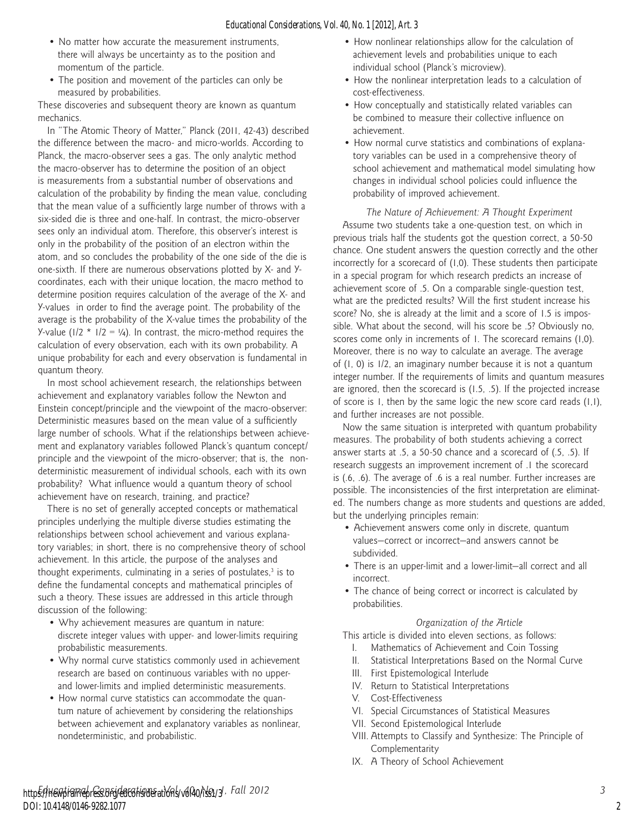- No matter how accurate the measurement instruments, there will always be uncertainty as to the position and momentum of the particle.
- The position and movement of the particles can only be measured by probabilities.

These discoveries and subsequent theory are known as quantum mechanics.

In "The Atomic Theory of Matter," Planck (2011, 42-43) described the difference between the macro- and micro-worlds. According to Planck, the macro-observer sees a gas. The only analytic method the macro-observer has to determine the position of an object is measurements from a substantial number of observations and calculation of the probability by finding the mean value, concluding that the mean value of a sufficiently large number of throws with a six-sided die is three and one-half. In contrast, the micro-observer sees only an individual atom. Therefore, this observer's interest is only in the probability of the position of an electron within the atom, and so concludes the probability of the one side of the die is one-sixth. If there are numerous observations plotted by X- and Ycoordinates, each with their unique location, the macro method to determine position requires calculation of the average of the X- and Y-values in order to find the average point. The probability of the average is the probability of the X-value times the probability of the Y-value ( $1/2$  \*  $1/2 = 1/4$ ). In contrast, the micro-method requires the calculation of every observation, each with its own probability. A unique probability for each and every observation is fundamental in quantum theory.

In most school achievement research, the relationships between achievement and explanatory variables follow the Newton and Einstein concept/principle and the viewpoint of the macro-observer: Deterministic measures based on the mean value of a sufficiently large number of schools. What if the relationships between achievement and explanatory variables followed Planck's quantum concept/ principle and the viewpoint of the micro-observer; that is, the nondeterministic measurement of individual schools, each with its own probability? What influence would a quantum theory of school achievement have on research, training, and practice?

There is no set of generally accepted concepts or mathematical principles underlying the multiple diverse studies estimating the relationships between school achievement and various explanatory variables; in short, there is no comprehensive theory of school achievement. In this article, the purpose of the analyses and thought experiments, culminating in a series of postulates, $3$  is to define the fundamental concepts and mathematical principles of such a theory. These issues are addressed in this article through discussion of the following:

- Why achievement measures are quantum in nature: discrete integer values with upper- and lower-limits requiring probabilistic measurements.
- Why normal curve statistics commonly used in achievement research are based on continuous variables with no upperand lower-limits and implied deterministic measurements.
- How normal curve statistics can accommodate the quantum nature of achievement by considering the relationships between achievement and explanatory variables as nonlinear, nondeterministic, and probabilistic.
- How nonlinear relationships allow for the calculation of achievement levels and probabilities unique to each individual school (Planck's microview).
- How the nonlinear interpretation leads to a calculation of cost-effectiveness.
- How conceptually and statistically related variables can be combined to measure their collective influence on achievement.
- How normal curve statistics and combinations of explanatory variables can be used in a comprehensive theory of school achievement and mathematical model simulating how changes in individual school policies could influence the probability of improved achievement.

*The Nature of Achievement: A Thought Experiment* Assume two students take a one-question test, on which in previous trials half the students got the question correct, a 50-50 chance. One student answers the question correctly and the other incorrectly for a scorecard of (1,0). These students then participate in a special program for which research predicts an increase of achievement score of .5. On a comparable single-question test, what are the predicted results? Will the first student increase his score? No, she is already at the limit and a score of 1.5 is impossible. What about the second, will his score be .5? Obviously no, scores come only in increments of 1. The scorecard remains (1,0). Moreover, there is no way to calculate an average. The average of (1, 0) is 1/2, an imaginary number because it is not a quantum integer number. If the requirements of limits and quantum measures are ignored, then the scorecard is (1.5, .5). If the projected increase of score is 1, then by the same logic the new score card reads (1,1), and further increases are not possible.

Now the same situation is interpreted with quantum probability measures. The probability of both students achieving a correct answer starts at .5, a 50-50 chance and a scorecard of (.5, .5). If research suggests an improvement increment of .1 the scorecard is (.6, .6). The average of .6 is a real number. Further increases are possible. The inconsistencies of the first interpretation are eliminated. The numbers change as more students and questions are added, but the underlying principles remain:

- Achievement answers come only in discrete, quantum values—correct or incorrect—and answers cannot be subdivided.
- There is an upper-limit and a lower-limit—all correct and all incorrect.
- The chance of being correct or incorrect is calculated by probabilities.

#### *Organization of the Article*

This article is divided into eleven sections, as follows:

- I. Mathematics of Achievement and Coin Tossing
- II. Statistical Interpretations Based on the Normal Curve
- III. First Epistemological Interlude
- IV. Return to Statistical Interpretations
- V. Cost-Effectiveness
- VI. Special Circumstances of Statistical Measures
- VII. Second Epistemological Interlude
- VIII. Attempts to Classify and Synthesize: The Principle of Complementarity
- IX. A Theory of School Achievement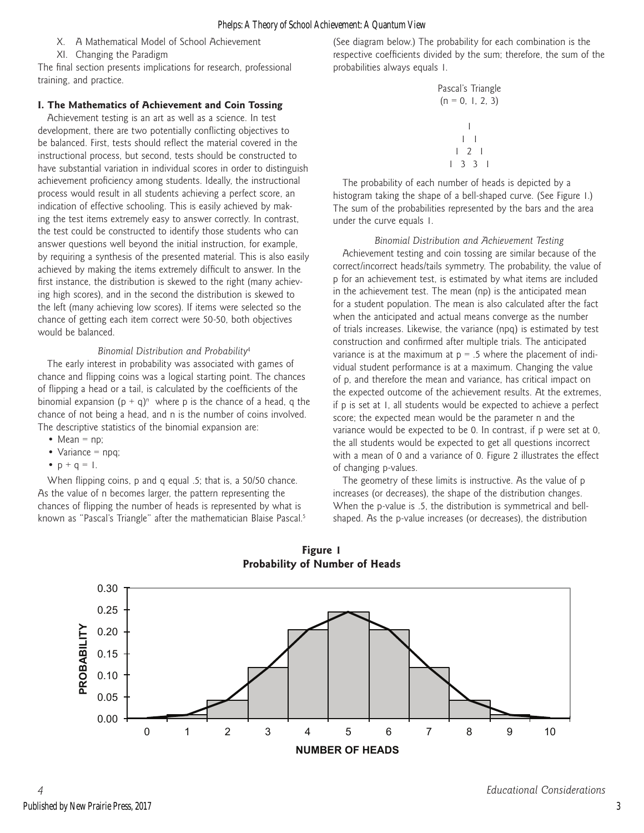- X. A Mathematical Model of School Achievement
- XI. Changing the Paradigm

The final section presents implications for research, professional training, and practice.

# **I. The Mathematics of Achievement and Coin Tossing**

Achievement testing is an art as well as a science. In test development, there are two potentially conflicting objectives to be balanced. First, tests should reflect the material covered in the instructional process, but second, tests should be constructed to have substantial variation in individual scores in order to distinguish achievement proficiency among students. Ideally, the instructional process would result in all students achieving a perfect score, an indication of effective schooling. This is easily achieved by making the test items extremely easy to answer correctly. In contrast, the test could be constructed to identify those students who can answer questions well beyond the initial instruction, for example, by requiring a synthesis of the presented material. This is also easily achieved by making the items extremely difficult to answer. In the first instance, the distribution is skewed to the right (many achieving high scores), and in the second the distribution is skewed to the left (many achieving low scores). If items were selected so the chance of getting each item correct were 50-50, both objectives would be balanced.

# *Binomial Distribution and Probability*<sup>4</sup>

The early interest in probability was associated with games of chance and flipping coins was a logical starting point. The chances of flipping a head or a tail, is calculated by the coefficients of the binomial expansion  $(p + q)^n$  where p is the chance of a head, q the chance of not being a head, and n is the number of coins involved. The descriptive statistics of the binomial expansion are:

- Mean  $=$  np;
- Variance  $=$  npq;
- $p + q = 1$ .

When flipping coins, p and q equal .5; that is, a 50/50 chance. As the value of n becomes larger, the pattern representing the chances of flipping the number of heads is represented by what is known as "Pascal's Triangle" after the mathematician Blaise Pascal.5 (See diagram below.) The probability for each combination is the respective coefficients divided by the sum; therefore, the sum of the probabilities always equals 1.

Pascal's Triangle (n = 0, 1, 2, 3) 1 1 1 1 2 1 1 3 3 1

The probability of each number of heads is depicted by a histogram taking the shape of a bell-shaped curve. (See Figure 1.) The sum of the probabilities represented by the bars and the area under the curve equals 1.

*Binomial Distribution and Achievement Testing* Achievement testing and coin tossing are similar because of the correct/incorrect heads/tails symmetry. The probability, the value of p for an achievement test, is estimated by what items are included in the achievement test. The mean (np) is the anticipated mean for a student population. The mean is also calculated after the fact when the anticipated and actual means converge as the number of trials increases. Likewise, the variance (npq) is estimated by test construction and confirmed after multiple trials. The anticipated variance is at the maximum at  $p = 0.5$  where the placement of individual student performance is at a maximum. Changing the value of p, and therefore the mean and variance, has critical impact on the expected outcome of the achievement results. At the extremes, if p is set at 1, all students would be expected to achieve a perfect score; the expected mean would be the parameter n and the variance would be expected to be 0. In contrast, if p were set at 0, the all students would be expected to get all questions incorrect with a mean of 0 and a variance of 0. Figure 2 illustrates the effect of changing p-values.

The geometry of these limits is instructive. As the value of p increases (or decreases), the shape of the distribution changes. When the p-value is .5, the distribution is symmetrical and bellshaped. As the p-value increases (or decreases), the distribution



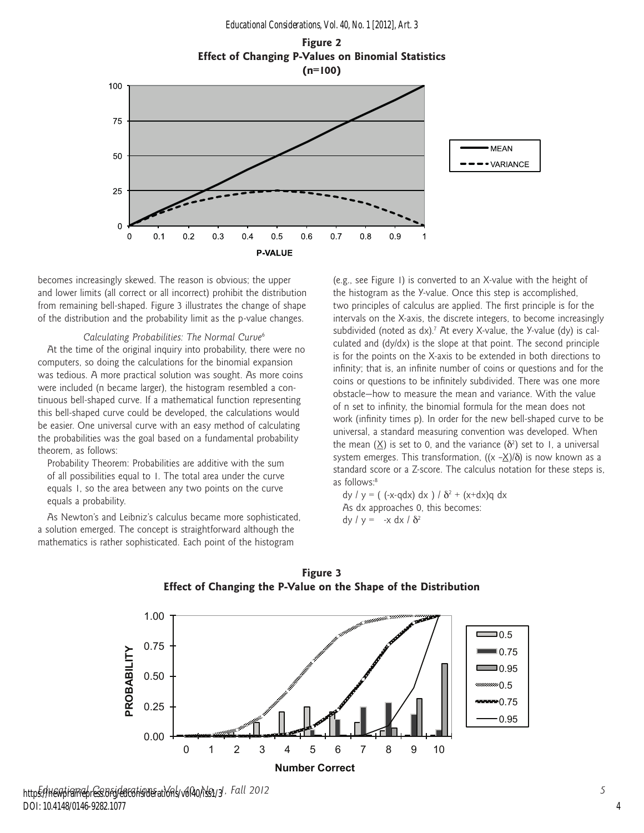



becomes increasingly skewed. The reason is obvious; the upper and lower limits (all correct or all incorrect) prohibit the distribution from remaining bell-shaped. Figure 3 illustrates the change of shape of the distribution and the probability limit as the p-value changes.

#### *Calculating Probabilities: The Normal Curve*<sup>6</sup>

At the time of the original inquiry into probability, there were no computers, so doing the calculations for the binomial expansion was tedious. A more practical solution was sought. As more coins were included (n became larger), the histogram resembled a continuous bell-shaped curve. If a mathematical function representing this bell-shaped curve could be developed, the calculations would be easier. One universal curve with an easy method of calculating the probabilities was the goal based on a fundamental probability theorem, as follows:

Probability Theorem: Probabilities are additive with the sum of all possibilities equal to 1. The total area under the curve equals 1, so the area between any two points on the curve equals a probability.

As Newton's and Leibniz's calculus became more sophisticated, a solution emerged. The concept is straightforward although the mathematics is rather sophisticated. Each point of the histogram

(e.g., see Figure 1) is converted to an X-value with the height of the histogram as the Y-value. Once this step is accomplished, two principles of calculus are applied. The first principle is for the intervals on the X-axis, the discrete integers, to become increasingly subdivided (noted as  $dx$ ).<sup>7</sup> At every X-value, the Y-value (dy) is calculated and (dy/dx) is the slope at that point. The second principle is for the points on the X-axis to be extended in both directions to infinity; that is, an infinite number of coins or questions and for the coins or questions to be infinitely subdivided. There was one more obstacle—how to measure the mean and variance. With the value of n set to infinity, the binomial formula for the mean does not work (infinity times p). In order for the new bell-shaped curve to be universal, a standard measuring convention was developed. When the mean  $(X)$  is set to 0, and the variance  $(\delta^2)$  set to 1, a universal system emerges. This transformation,  $((x - \underline{X})/\delta)$  is now known as a standard score or a Z-score. The calculus notation for these steps is, as follows:<sup>8</sup>

dy /  $y = ($  (-x-qdx) dx ) /  $\delta^2 + (x+dx)q dx$ As dx approaches 0, this becomes: dy /  $y = -x dx / \delta^2$ 





http<del>s://newpigmepress.org/edconsider</del>ations/volA0/iss1/3/, Fall 2012 DOI: 10.4148/0146-9282.1077

4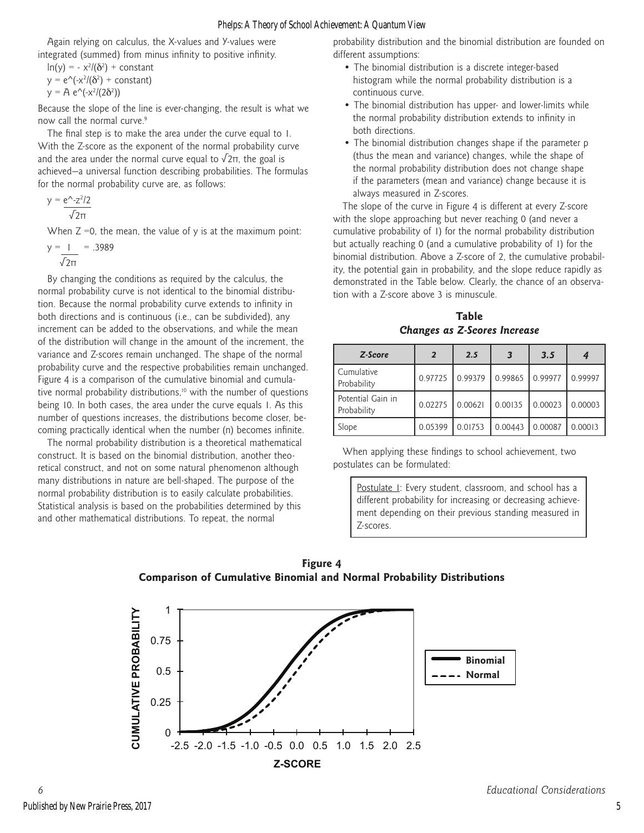Again relying on calculus, the X-values and Y-values were integrated (summed) from minus infinity to positive infinity.

$$
\ln(y) = -x^2/( \delta^2) + constant
$$
  
y = e<sup>^</sup>(-x<sup>2</sup>/( \delta<sup>2</sup>)+ constant)  
y = A e<sup>^</sup>(-x<sup>2</sup>/(2\delta<sup>2</sup>))

Because the slope of the line is ever-changing, the result is what we now call the normal curve.<sup>9</sup>

The final step is to make the area under the curve equal to 1. With the Z-score as the exponent of the normal probability curve and the area under the normal curve equal to  $\sqrt{2\pi}$ , the goal is achieved—a universal function describing probabilities. The formulas for the normal probability curve are, as follows:

$$
y = \frac{e^{\Lambda} - z^2/2}{\sqrt{2\pi}}
$$

When  $Z = 0$ , the mean, the value of y is at the maximum point:

$$
y = \frac{1}{\sqrt{2\pi}} = .3989
$$

By changing the conditions as required by the calculus, the normal probability curve is not identical to the binomial distribution. Because the normal probability curve extends to infinity in both directions and is continuous (i.e., can be subdivided), any increment can be added to the observations, and while the mean of the distribution will change in the amount of the increment, the variance and Z-scores remain unchanged. The shape of the normal probability curve and the respective probabilities remain unchanged. Figure 4 is a comparison of the cumulative binomial and cumulative normal probability distributions,<sup>10</sup> with the number of questions being 10. In both cases, the area under the curve equals 1. As this number of questions increases, the distributions become closer, becoming practically identical when the number (n) becomes infinite.

The normal probability distribution is a theoretical mathematical construct. It is based on the binomial distribution, another theoretical construct, and not on some natural phenomenon although many distributions in nature are bell-shaped. The purpose of the normal probability distribution is to easily calculate probabilities. Statistical analysis is based on the probabilities determined by this and other mathematical distributions. To repeat, the normal

probability distribution and the binomial distribution are founded on different assumptions:

- The binomial distribution is a discrete integer-based histogram while the normal probability distribution is a continuous curve.
- The binomial distribution has upper- and lower-limits while the normal probability distribution extends to infinity in both directions.
- The binomial distribution changes shape if the parameter p (thus the mean and variance) changes, while the shape of the normal probability distribution does not change shape if the parameters (mean and variance) change because it is always measured in Z-scores.

The slope of the curve in Figure 4 is different at every Z-score with the slope approaching but never reaching 0 (and never a cumulative probability of 1) for the normal probability distribution but actually reaching 0 (and a cumulative probability of 1) for the binomial distribution. Above a Z-score of 2, the cumulative probability, the potential gain in probability, and the slope reduce rapidly as demonstrated in the Table below. Clearly, the chance of an observation with a Z-score above 3 is minuscule.

**Table** *Changes as Z-Scores Increase*

| Z-Score                          | $\overline{2}$ | 2.5     |         | 3.5     |         |  |
|----------------------------------|----------------|---------|---------|---------|---------|--|
| Cumulative<br>Probability        | 0.97725        | 0.99379 | 0.99865 | 0.99977 | 0.99997 |  |
| Potential Gain in<br>Probability | 0.02275        | 0.00621 | 0.00135 | 0.00023 | 0.00003 |  |
| Slope                            | 0.05399        | 0.01753 | 0.00443 | 0.00087 | 0.00013 |  |

When applying these findings to school achievement, two postulates can be formulated:

Postulate 1: Every student, classroom, and school has a different probability for increasing or decreasing achievement depending on their previous standing measured in Z-scores.



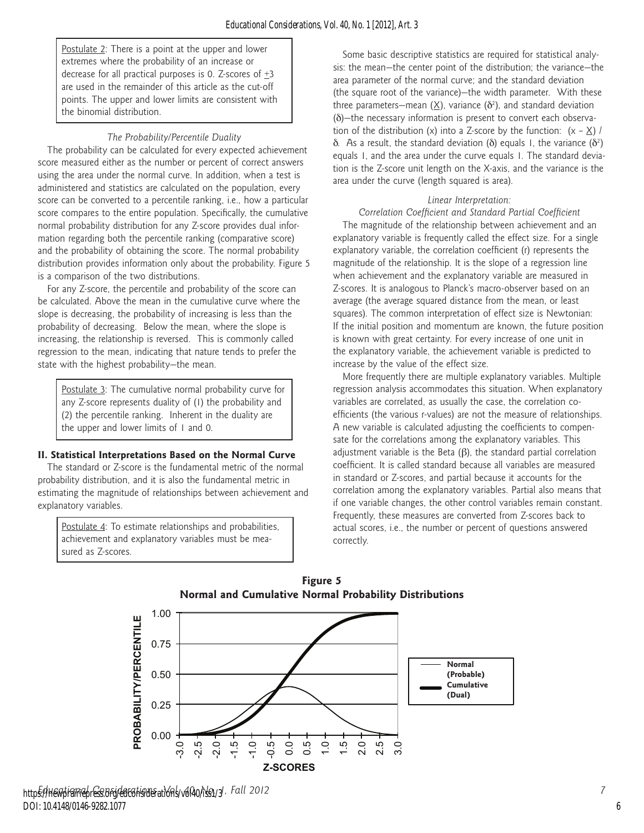Postulate 2: There is a point at the upper and lower extremes where the probability of an increase or decrease for all practical purposes is 0. Z-scores of +3 are used in the remainder of this article as the cut-off points. The upper and lower limits are consistent with the binomial distribution.

#### *The Probability/Percentile Duality*

The probability can be calculated for every expected achievement score measured either as the number or percent of correct answers using the area under the normal curve. In addition, when a test is administered and statistics are calculated on the population, every score can be converted to a percentile ranking, i.e., how a particular score compares to the entire population. Specifically, the cumulative normal probability distribution for any Z-score provides dual information regarding both the percentile ranking (comparative score) and the probability of obtaining the score. The normal probability distribution provides information only about the probability. Figure 5 is a comparison of the two distributions.

For any Z-score, the percentile and probability of the score can be calculated. Above the mean in the cumulative curve where the slope is decreasing, the probability of increasing is less than the probability of decreasing. Below the mean, where the slope is increasing, the relationship is reversed. This is commonly called regression to the mean, indicating that nature tends to prefer the state with the highest probability—the mean.

Postulate 3: The cumulative normal probability curve for any Z-score represents duality of (1) the probability and (2) the percentile ranking. Inherent in the duality are the upper and lower limits of 1 and 0.

#### **II. Statistical Interpretations Based on the Normal Curve**

The standard or Z-score is the fundamental metric of the normal probability distribution, and it is also the fundamental metric in estimating the magnitude of relationships between achievement and explanatory variables.

Postulate 4: To estimate relationships and probabilities, achievement and explanatory variables must be measured as Z-scores.

Some basic descriptive statistics are required for statistical analysis: the mean—the center point of the distribution; the variance—the area parameter of the normal curve; and the standard deviation (the square root of the variance)—the width parameter. With these three parameters—mean ( $\underline{X}$ ), variance ( $\delta^2$ ), and standard deviation (δ)—the necessary information is present to convert each observation of the distribution (x) into a Z-score by the function:  $(x - X)$  /  $\delta$ . As a result, the standard deviation ( $\delta$ ) equals 1, the variance ( $\delta^2$ ) equals 1, and the area under the curve equals 1. The standard deviation is the Z-score unit length on the X-axis, and the variance is the area under the curve (length squared is area).

#### *Linear Interpretation:*

# *Correlation Coefficient and Standard Partial Coefficient*

The magnitude of the relationship between achievement and an explanatory variable is frequently called the effect size. For a single explanatory variable, the correlation coefficient (r) represents the magnitude of the relationship. It is the slope of a regression line when achievement and the explanatory variable are measured in Z-scores. It is analogous to Planck's macro-observer based on an average (the average squared distance from the mean, or least squares). The common interpretation of effect size is Newtonian: If the initial position and momentum are known, the future position is known with great certainty. For every increase of one unit in the explanatory variable, the achievement variable is predicted to increase by the value of the effect size.

More frequently there are multiple explanatory variables. Multiple regression analysis accommodates this situation. When explanatory variables are correlated, as usually the case, the correlation coefficients (the various r-values) are not the measure of relationships. A new variable is calculated adjusting the coefficients to compensate for the correlations among the explanatory variables. This adjustment variable is the Beta  $(\beta)$ , the standard partial correlation coefficient. It is called standard because all variables are measured in standard or Z-scores, and partial because it accounts for the correlation among the explanatory variables. Partial also means that if one variable changes, the other control variables remain constant. Frequently, these measures are converted from Z-scores back to actual scores, i.e., the number or percent of questions answered correctly.

**Figure 5 Normal and Cumulative Normal Probability Distributions**



6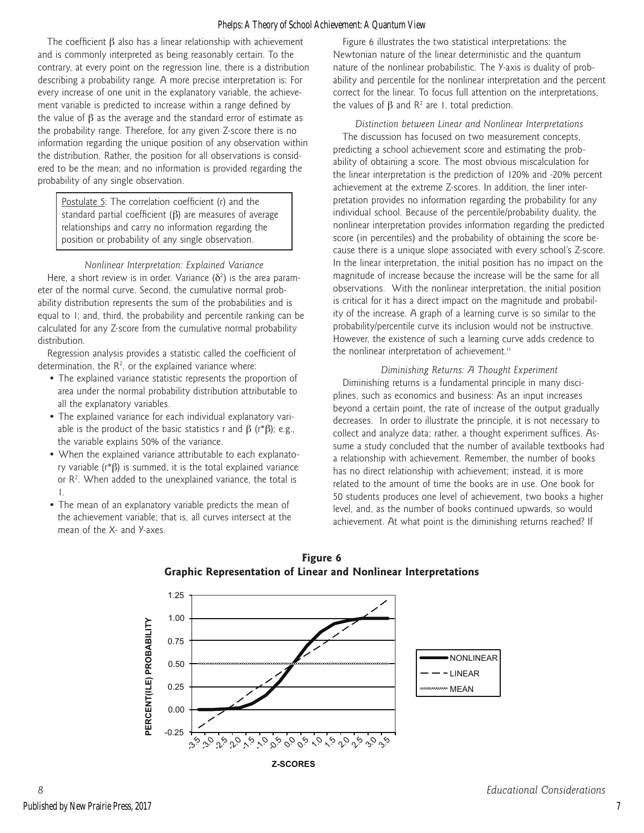The coefficient β also has a linear relationship with achievement and is commonly interpreted as being reasonably certain. To the contrary, at every point on the regression line, there is a distribution describing a probability range. A more precise interpretation is: For every increase of one unit in the explanatory variable, the achievement variable is predicted to increase within a range defined by the value of  $β$  as the average and the standard error of estimate as the probability range. Therefore, for any given Z-score there is no information regarding the unique position of any observation within the distribution. Rather, the position for all observations is considered to be the mean; and no information is provided regarding the probability of any single observation.

Postulate 5: The correlation coefficient (r) and the standard partial coefficient (β) are measures of average relationships and carry no information regarding the position or probability of any single observation.

*Nonlinear Interpretation: Explained Variance*

Here, a short review is in order. Variance  $(\delta^2)$  is the area parameter of the normal curve. Second, the cumulative normal probability distribution represents the sum of the probabilities and is equal to 1; and, third, the probability and percentile ranking can be calculated for any Z-score from the cumulative normal probability distribution.

Regression analysis provides a statistic called the coefficient of determination, the  $R^2$ , or the explained variance where:

- The explained variance statistic represents the proportion of area under the normal probability distribution attributable to all the explanatory variables.
- The explained variance for each individual explanatory variable is the product of the basic statistics r and  $β$  (r\* $β$ ); e.g., the variable explains 50% of the variance.
- When the explained variance attributable to each explanatory variable (r\*β) is summed, it is the total explained variance or  $R<sup>2</sup>$ . When added to the unexplained variance, the total is 1.
- The mean of an explanatory variable predicts the mean of the achievement variable; that is, all curves intersect at the mean of the X- and Y-axes.

Figure 6 illustrates the two statistical interpretations: the Newtonian nature of the linear deterministic and the quantum nature of the nonlinear probabilistic. The Y-axis is duality of probability and percentile for the nonlinear interpretation and the percent correct for the linear. To focus full attention on the interpretations, the values of  $β$  and  $R<sup>2</sup>$  are 1, total prediction.

*Distinction between Linear and Nonlinear Interpretations* The discussion has focused on two measurement concepts, predicting a school achievement score and estimating the probability of obtaining a score. The most obvious miscalculation for the linear interpretation is the prediction of 120% and -20% percent achievement at the extreme Z-scores. In addition, the liner interpretation provides no information regarding the probability for any individual school. Because of the percentile/probability duality, the nonlinear interpretation provides information regarding the predicted score (in percentiles) and the probability of obtaining the score because there is a unique slope associated with every school's Z-score. In the linear interpretation, the initial position has no impact on the magnitude of increase because the increase will be the same for all observations. With the nonlinear interpretation, the initial position is critical for it has a direct impact on the magnitude and probability of the increase. A graph of a learning curve is so similar to the probability/percentile curve its inclusion would not be instructive. However, the existence of such a learning curve adds credence to the nonlinear interpretation of achievement.<sup>11</sup>

#### *Diminishing Returns: A Thought Experiment*

Diminishing returns is a fundamental principle in many disciplines, such as economics and business: As an input increases beyond a certain point, the rate of increase of the output gradually decreases. In order to illustrate the principle, it is not necessary to collect and analyze data; rather, a thought experiment suffices. Assume a study concluded that the number of available textbooks had a relationship with achievement. Remember, the number of books has no direct relationship with achievement; instead, it is more related to the amount of time the books are in use. One book for 50 students produces one level of achievement, two books a higher level, and, as the number of books continued upwards, so would achievement. At what point is the diminishing returns reached? If



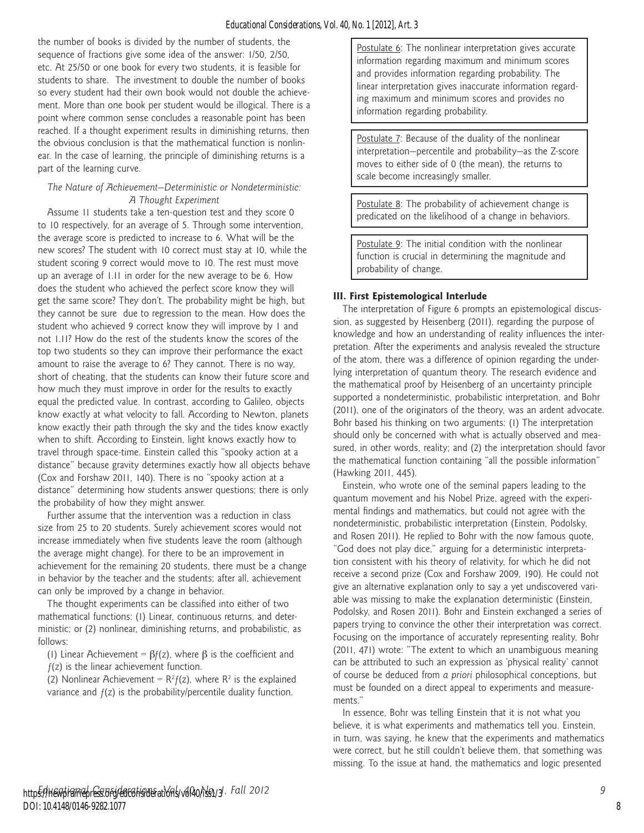the number of books is divided by the number of students, the sequence of fractions give some idea of the answer: 1/50, 2/50, etc. At 25/50 or one book for every two students, it is feasible for students to share. The investment to double the number of books so every student had their own book would not double the achievement. More than one book per student would be illogical. There is a point where common sense concludes a reasonable point has been reached. If a thought experiment results in diminishing returns, then the obvious conclusion is that the mathematical function is nonlinear. In the case of learning, the principle of diminishing returns is a part of the learning curve.

#### *The Nature of Achievement—Deterministic or Nondeterministic: A Thought Experiment*

Assume 11 students take a ten-question test and they score 0 to 10 respectively, for an average of 5. Through some intervention, the average score is predicted to increase to 6. What will be the new scores? The student with 10 correct must stay at 10, while the student scoring 9 correct would move to 10. The rest must move up an average of 1.11 in order for the new average to be 6. How does the student who achieved the perfect score know they will get the same score? They don't. The probability might be high, but they cannot be sure due to regression to the mean. How does the student who achieved 9 correct know they will improve by 1 and not 1.11? How do the rest of the students know the scores of the top two students so they can improve their performance the exact amount to raise the average to 6? They cannot. There is no way, short of cheating, that the students can know their future score and how much they must improve in order for the results to exactly equal the predicted value. In contrast, according to Galileo, objects know exactly at what velocity to fall. According to Newton, planets know exactly their path through the sky and the tides know exactly when to shift. According to Einstein, light knows exactly how to travel through space-time. Einstein called this "spooky action at a distance" because gravity determines exactly how all objects behave (Cox and Forshaw 2011, 140). There is no "spooky action at a distance" determining how students answer questions; there is only the probability of how they might answer.

Further assume that the intervention was a reduction in class size from 25 to 20 students. Surely achievement scores would not increase immediately when five students leave the room (although the average might change). For there to be an improvement in achievement for the remaining 20 students, there must be a change in behavior by the teacher and the students; after all, achievement can only be improved by a change in behavior.

The thought experiments can be classified into either of two mathematical functions: (1) Linear, continuous returns, and deterministic; or (2) nonlinear, diminishing returns, and probabilistic, as follows:

(1) Linear Achievement =  $\beta f(z)$ , where  $\beta$  is the coefficient and  $f(z)$  is the linear achievement function.

(2) Nonlinear Achievement =  $R^2 f(z)$ , where  $R^2$  is the explained variance and  $f(z)$  is the probability/percentile duality function.

Postulate 6: The nonlinear interpretation gives accurate information regarding maximum and minimum scores and provides information regarding probability. The linear interpretation gives inaccurate information regarding maximum and minimum scores and provides no information regarding probability.

Postulate 7: Because of the duality of the nonlinear interpretation—percentile and probability—as the Z-score moves to either side of 0 (the mean), the returns to scale become increasingly smaller.

Postulate 8: The probability of achievement change is predicated on the likelihood of a change in behaviors.

Postulate 9: The initial condition with the nonlinear function is crucial in determining the magnitude and probability of change.

#### **III. First Epistemological Interlude**

The interpretation of Figure 6 prompts an epistemological discussion, as suggested by Heisenberg (2011), regarding the purpose of knowledge and how an understanding of reality influences the interpretation. After the experiments and analysis revealed the structure of the atom, there was a difference of opinion regarding the underlying interpretation of quantum theory. The research evidence and the mathematical proof by Heisenberg of an uncertainty principle supported a nondeterministic, probabilistic interpretation, and Bohr (2011), one of the originators of the theory, was an ardent advocate. Bohr based his thinking on two arguments: (1) The interpretation should only be concerned with what is actually observed and measured, in other words, reality; and (2) the interpretation should favor the mathematical function containing "all the possible information" (Hawking 2011, 445).

Einstein, who wrote one of the seminal papers leading to the quantum movement and his Nobel Prize, agreed with the experimental findings and mathematics, but could not agree with the nondeterministic, probabilistic interpretation (Einstein, Podolsky, and Rosen 2011). He replied to Bohr with the now famous quote, "God does not play dice," arguing for a deterministic interpretation consistent with his theory of relativity, for which he did not receive a second prize (Cox and Forshaw 2009, 190). He could not give an alternative explanation only to say a yet undiscovered variable was missing to make the explanation deterministic (Einstein, Podolsky, and Rosen 2011). Bohr and Einstein exchanged a series of papers trying to convince the other their interpretation was correct. Focusing on the importance of accurately representing reality, Bohr (2011, 471) wrote: "The extent to which an unambiguous meaning can be attributed to such an expression as 'physical reality' cannot of course be deduced from *a priori* philosophical conceptions, but must be founded on a direct appeal to experiments and measurements."

In essence, Bohr was telling Einstein that it is not what you believe, it is what experiments and mathematics tell you. Einstein, in turn, was saying, he knew that the experiments and mathematics were correct, but he still couldn't believe them, that something was missing. To the issue at hand, the mathematics and logic presented

8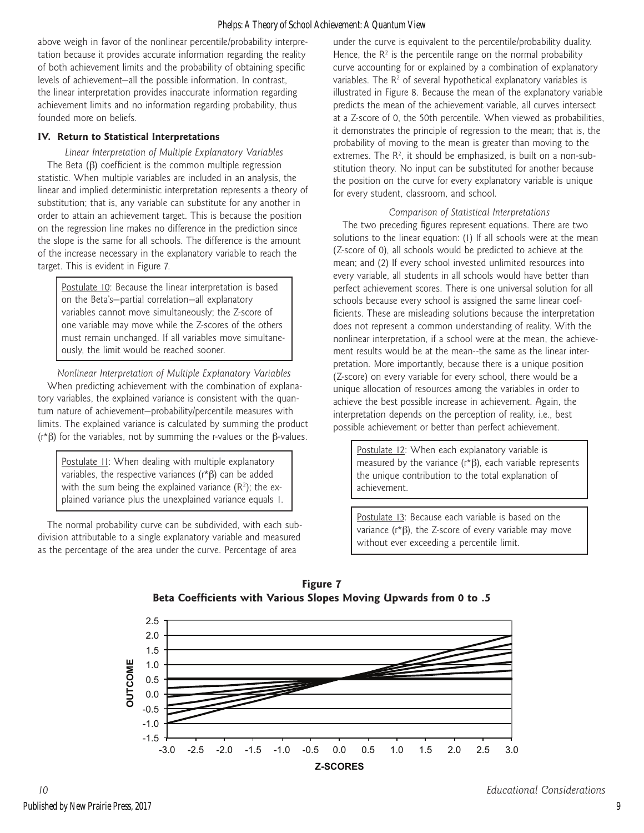above weigh in favor of the nonlinear percentile/probability interpretation because it provides accurate information regarding the reality of both achievement limits and the probability of obtaining specific levels of achievement—all the possible information. In contrast, the linear interpretation provides inaccurate information regarding achievement limits and no information regarding probability, thus founded more on beliefs.

# **IV. Return to Statistical Interpretations**

*Linear Interpretation of Multiple Explanatory Variables* The Beta (β) coefficient is the common multiple regression statistic. When multiple variables are included in an analysis, the linear and implied deterministic interpretation represents a theory of substitution; that is, any variable can substitute for any another in order to attain an achievement target. This is because the position on the regression line makes no difference in the prediction since the slope is the same for all schools. The difference is the amount of the increase necessary in the explanatory variable to reach the target. This is evident in Figure 7.

Postulate 10: Because the linear interpretation is based on the Beta's—partial correlation—all explanatory variables cannot move simultaneously; the Z-score of one variable may move while the Z-scores of the others must remain unchanged. If all variables move simultaneously, the limit would be reached sooner.

*Nonlinear Interpretation of Multiple Explanatory Variables* When predicting achievement with the combination of explanatory variables, the explained variance is consistent with the quantum nature of achievement—probability/percentile measures with limits. The explained variance is calculated by summing the product (r\*β) for the variables, not by summing the r-values or the β-values.

Postulate II: When dealing with multiple explanatory variables, the respective variances (r\*β) can be added with the sum being the explained variance  $(R^2)$ ; the explained variance plus the unexplained variance equals 1.

The normal probability curve can be subdivided, with each subdivision attributable to a single explanatory variable and measured as the percentage of the area under the curve. Percentage of area

under the curve is equivalent to the percentile/probability duality. Hence, the  $R<sup>2</sup>$  is the percentile range on the normal probability curve accounting for or explained by a combination of explanatory variables. The  $R<sup>2</sup>$  of several hypothetical explanatory variables is illustrated in Figure 8. Because the mean of the explanatory variable predicts the mean of the achievement variable, all curves intersect at a Z-score of 0, the 50th percentile. When viewed as probabilities, it demonstrates the principle of regression to the mean; that is, the probability of moving to the mean is greater than moving to the extremes. The  $R^2$ , it should be emphasized, is built on a non-substitution theory. No input can be substituted for another because the position on the curve for every explanatory variable is unique for every student, classroom, and school.

## *Comparison of Statistical Interpretations*

The two preceding figures represent equations. There are two solutions to the linear equation: (1) If all schools were at the mean (Z-score of 0), all schools would be predicted to achieve at the mean; and (2) If every school invested unlimited resources into every variable, all students in all schools would have better than perfect achievement scores. There is one universal solution for all schools because every school is assigned the same linear coefficients. These are misleading solutions because the interpretation does not represent a common understanding of reality. With the nonlinear interpretation, if a school were at the mean, the achievement results would be at the mean--the same as the linear interpretation. More importantly, because there is a unique position (Z-score) on every variable for every school, there would be a unique allocation of resources among the variables in order to achieve the best possible increase in achievement. Again, the interpretation depends on the perception of reality, i.e., best possible achievement or better than perfect achievement.

Postulate 12: When each explanatory variable is measured by the variance ( $r$ \* $\beta$ ), each variable represents the unique contribution to the total explanation of achievement.

Postulate 13: Because each variable is based on the variance (r\*β), the Z-score of every variable may move without ever exceeding a percentile limit.



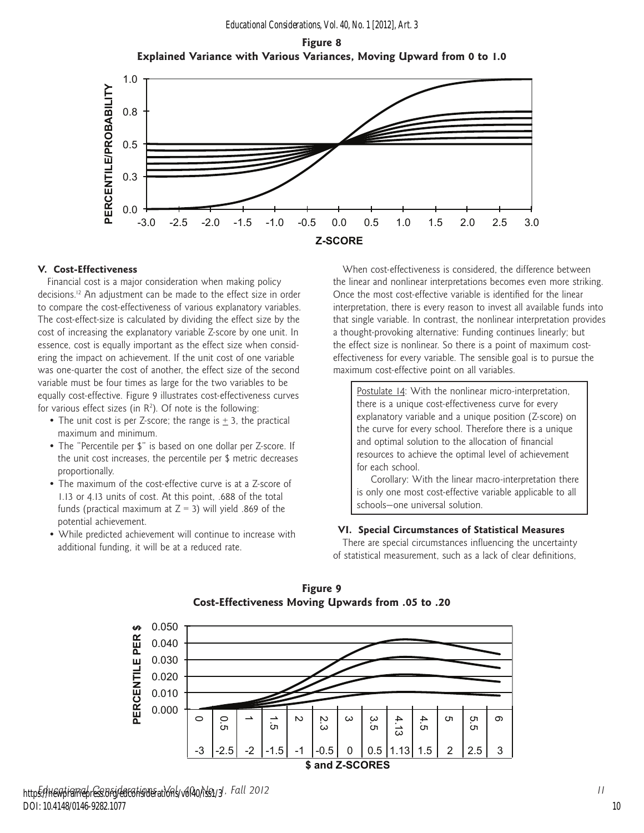**Figure 8 Explained Variance with Various Variances, Moving Upward from 0 to 1.0**



#### **V. Cost-Effectiveness**

Financial cost is a major consideration when making policy decisions.12 An adjustment can be made to the effect size in order to compare the cost-effectiveness of various explanatory variables. The cost-effect-size is calculated by dividing the effect size by the cost of increasing the explanatory variable Z-score by one unit. In essence, cost is equally important as the effect size when considering the impact on achievement. If the unit cost of one variable was one-quarter the cost of another, the effect size of the second variable must be four times as large for the two variables to be equally cost-effective. Figure 9 illustrates cost-effectiveness curves for various effect sizes (in  $R^2$ ). Of note is the following:

- The unit cost is per Z-score; the range is  $\pm$  3, the practical maximum and minimum.
- The "Percentile per \$" is based on one dollar per Z-score. If the unit cost increases, the percentile per \$ metric decreases proportionally.
- The maximum of the cost-effective curve is at a Z-score of 1.13 or 4.13 units of cost. At this point, .688 of the total funds (practical maximum at  $Z = 3$ ) will yield .869 of the potential achievement.
- While predicted achievement will continue to increase with additional funding, it will be at a reduced rate.

When cost-effectiveness is considered, the difference between the linear and nonlinear interpretations becomes even more striking. Once the most cost-effective variable is identified for the linear interpretation, there is every reason to invest all available funds into that single variable. In contrast, the nonlinear interpretation provides a thought-provoking alternative: Funding continues linearly; but the effect size is nonlinear. So there is a point of maximum costeffectiveness for every variable. The sensible goal is to pursue the maximum cost-effective point on all variables.

Postulate 14: With the nonlinear micro-interpretation, there is a unique cost-effectiveness curve for every explanatory variable and a unique position (Z-score) on the curve for every school. Therefore there is a unique and optimal solution to the allocation of financial resources to achieve the optimal level of achievement for each school.

Corollary: With the linear macro-interpretation there is only one most cost-effective variable applicable to all schools—one universal solution.

#### **VI. Special Circumstances of Statistical Measures**

There are special circumstances influencing the uncertainty of statistical measurement, such as a lack of clear definitions,



**Figure 9 Cost-Effectiveness Moving Upwards from .05 to .20**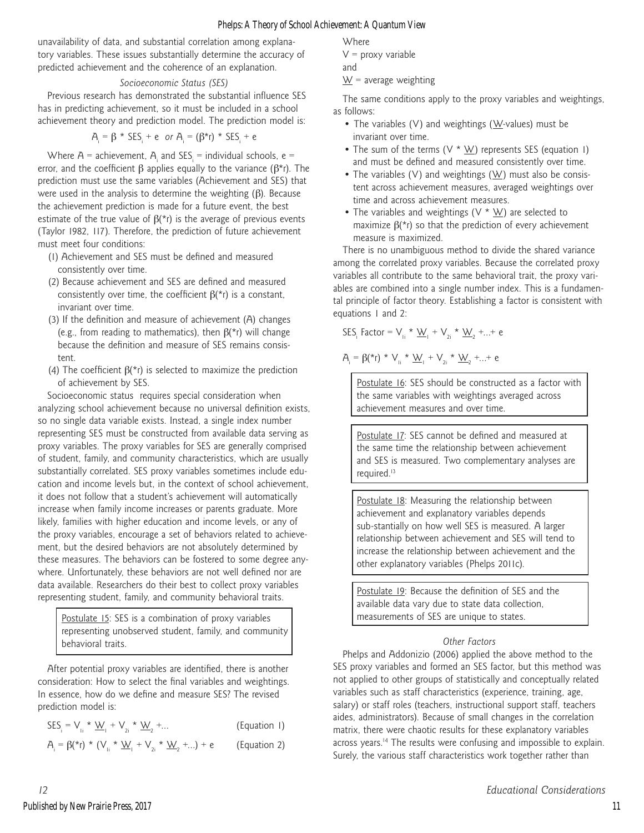unavailability of data, and substantial correlation among explanatory variables. These issues substantially determine the accuracy of predicted achievement and the coherence of an explanation.

#### *Socioeconomic Status (SES)*

Previous research has demonstrated the substantial influence SES has in predicting achievement, so it must be included in a school achievement theory and prediction model. The prediction model is:

$$
A_i = \beta * SES_i + e \text{ or } A_i = (\beta * r) * SES_i + e
$$

Where  $A =$  achievement,  $A_i$  and SES<sub>i</sub> = individual schools, e = error, and the coefficient β applies equally to the variance ( $β$ <sup>\*</sup>r). The prediction must use the same variables (Achievement and SES) that were used in the analysis to determine the weighting (β). Because the achievement prediction is made for a future event, the best estimate of the true value of  $\beta$ (\*r) is the average of previous events (Taylor 1982, 117). Therefore, the prediction of future achievement must meet four conditions:

- (1) Achievement and SES must be defined and measured consistently over time.
- (2) Because achievement and SES are defined and measured consistently over time, the coefficient  $\beta$ (\*r) is a constant, invariant over time.
- (3) If the definition and measure of achievement (A) changes (e.g., from reading to mathematics), then  $\beta$ (\*r) will change because the definition and measure of SES remains consistent.
- (4) The coefficient  $\beta$ (\*r) is selected to maximize the prediction of achievement by SES.

Socioeconomic status requires special consideration when analyzing school achievement because no universal definition exists, so no single data variable exists. Instead, a single index number representing SES must be constructed from available data serving as proxy variables. The proxy variables for SES are generally comprised of student, family, and community characteristics, which are usually substantially correlated. SES proxy variables sometimes include education and income levels but, in the context of school achievement, it does not follow that a student's achievement will automatically increase when family income increases or parents graduate. More likely, families with higher education and income levels, or any of the proxy variables, encourage a set of behaviors related to achievement, but the desired behaviors are not absolutely determined by these measures. The behaviors can be fostered to some degree anywhere. Unfortunately, these behaviors are not well defined nor are data available. Researchers do their best to collect proxy variables representing student, family, and community behavioral traits.

Postulate 15: SES is a combination of proxy variables representing unobserved student, family, and community behavioral traits.

After potential proxy variables are identified, there is another consideration: How to select the final variables and weightings. In essence, how do we define and measure SES? The revised prediction model is:

|  |  |  |  | $SES_i = V_{ii} * \underline{W}_1 + V_{2i} * \underline{W}_2 + $ | (Equation 1) |  |
|--|--|--|--|------------------------------------------------------------------|--------------|--|
|--|--|--|--|------------------------------------------------------------------|--------------|--|

$$
A_{i} = \beta({}^{*}r) * (V_{i} * \underline{W}_{i} + V_{2i} * \underline{W}_{2} + ...) + e
$$
 (Equation 2)

**Where** 

 $V =$  proxy variable

and 
$$
\sum_{i=1}^{n} x_i
$$

 $W =$  average weighting

The same conditions apply to the proxy variables and weightings, as follows:

- The variables (V) and weightings ( $W$ -values) must be invariant over time.
- The sum of the terms  $(V * W)$  represents SES (equation 1) and must be defined and measured consistently over time.
- The variables (V) and weightings ( $W$ ) must also be consistent across achievement measures, averaged weightings over time and across achievement measures.
- The variables and weightings ( $V * W$ ) are selected to maximize  $β$ (\*r) so that the prediction of every achievement measure is maximized.

There is no unambiguous method to divide the shared variance among the correlated proxy variables. Because the correlated proxy variables all contribute to the same behavioral trait, the proxy variables are combined into a single number index. This is a fundamental principle of factor theory. Establishing a factor is consistent with equations 1 and 2:

$$
SES_{i} \; \text{Factor} = V_{i} \star \underline{W}_{i} + V_{2i} \star \underline{W}_{2} + ... + e
$$

$$
A_{i} = \beta(^{\star}r) \; {^{\star}}\; V_{i i} \; {^{\star}}\; \underline{W}_{i} \; {^{\star}}\; V_{2i} \; {^{\star}}\; \underline{W}_{2} \; {^{\star}}...{^{\star}}\; e
$$

Postulate 16: SES should be constructed as a factor with the same variables with weightings averaged across achievement measures and over time.

Postulate 17: SES cannot be defined and measured at the same time the relationship between achievement and SES is measured. Two complementary analyses are required.<sup>13</sup>

Postulate 18: Measuring the relationship between achievement and explanatory variables depends sub-stantially on how well SES is measured. A larger relationship between achievement and SES will tend to increase the relationship between achievement and the other explanatory variables (Phelps 2011c).

Postulate 19: Because the definition of SES and the available data vary due to state data collection, measurements of SES are unique to states.

# *Other Factors*

Phelps and Addonizio (2006) applied the above method to the SES proxy variables and formed an SES factor, but this method was not applied to other groups of statistically and conceptually related variables such as staff characteristics (experience, training, age, salary) or staff roles (teachers, instructional support staff, teachers aides, administrators). Because of small changes in the correlation matrix, there were chaotic results for these explanatory variables across years.<sup>14</sup> The results were confusing and impossible to explain. Surely, the various staff characteristics work together rather than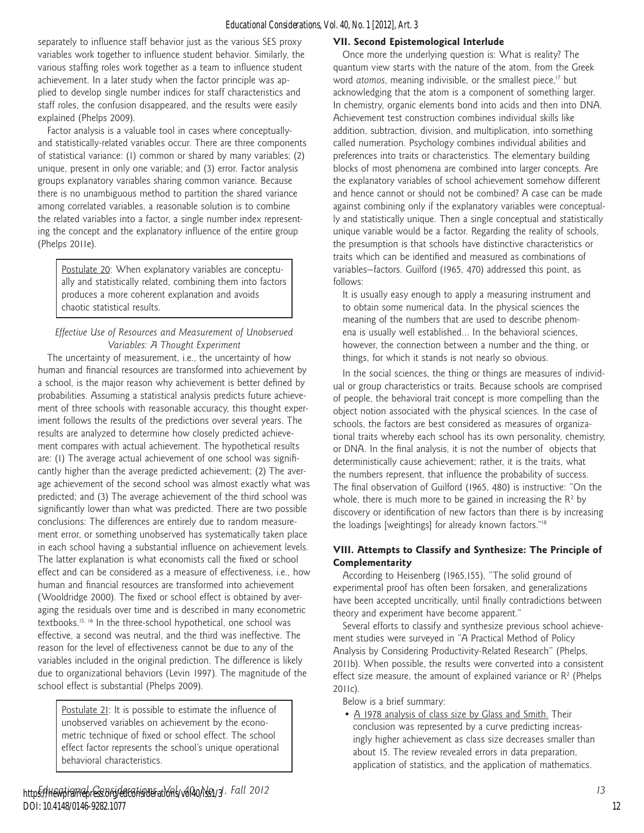separately to influence staff behavior just as the various SES proxy variables work together to influence student behavior. Similarly, the various staffing roles work together as a team to influence student achievement. In a later study when the factor principle was applied to develop single number indices for staff characteristics and staff roles, the confusion disappeared, and the results were easily explained (Phelps 2009).

Factor analysis is a valuable tool in cases where conceptuallyand statistically-related variables occur. There are three components of statistical variance: (1) common or shared by many variables; (2) unique, present in only one variable; and (3) error. Factor analysis groups explanatory variables sharing common variance. Because there is no unambiguous method to partition the shared variance among correlated variables, a reasonable solution is to combine the related variables into a factor, a single number index representing the concept and the explanatory influence of the entire group (Phelps 2011e).

Postulate 20: When explanatory variables are conceptually and statistically related, combining them into factors produces a more coherent explanation and avoids chaotic statistical results.

# *Effective Use of Resources and Measurement of Unobserved Variables: A Thought Experiment*

The uncertainty of measurement, i.e., the uncertainty of how human and financial resources are transformed into achievement by a school, is the major reason why achievement is better defined by probabilities. Assuming a statistical analysis predicts future achievement of three schools with reasonable accuracy, this thought experiment follows the results of the predictions over several years. The results are analyzed to determine how closely predicted achievement compares with actual achievement. The hypothetical results are: (1) The average actual achievement of one school was significantly higher than the average predicted achievement; (2) The average achievement of the second school was almost exactly what was predicted; and (3) The average achievement of the third school was significantly lower than what was predicted. There are two possible conclusions: The differences are entirely due to random measurement error, or something unobserved has systematically taken place in each school having a substantial influence on achievement levels. The latter explanation is what economists call the fixed or school effect and can be considered as a measure of effectiveness, i.e., how human and financial resources are transformed into achievement (Wooldridge 2000). The fixed or school effect is obtained by averaging the residuals over time and is described in many econometric textbooks.15, 16 In the three-school hypothetical, one school was effective, a second was neutral, and the third was ineffective. The reason for the level of effectiveness cannot be due to any of the variables included in the original prediction. The difference is likely due to organizational behaviors (Levin 1997). The magnitude of the school effect is substantial (Phelps 2009).

Postulate 21: It is possible to estimate the influence of unobserved variables on achievement by the econometric technique of fixed or school effect. The school effect factor represents the school's unique operational behavioral characteristics.

#### **VII. Second Epistemological Interlude**

Once more the underlying question is: What is reality? The quantum view starts with the nature of the atom, from the Greek word *atomos*, meaning indivisible, or the smallest piece,<sup>17</sup> but acknowledging that the atom is a component of something larger. In chemistry, organic elements bond into acids and then into DNA. Achievement test construction combines individual skills like addition, subtraction, division, and multiplication, into something called numeration. Psychology combines individual abilities and preferences into traits or characteristics. The elementary building blocks of most phenomena are combined into larger concepts. Are the explanatory variables of school achievement somehow different and hence cannot or should not be combined? A case can be made against combining only if the explanatory variables were conceptually and statistically unique. Then a single conceptual and statistically unique variable would be a factor. Regarding the reality of schools, the presumption is that schools have distinctive characteristics or traits which can be identified and measured as combinations of variables—factors. Guilford (1965, 470) addressed this point, as follows:

It is usually easy enough to apply a measuring instrument and to obtain some numerical data. In the physical sciences the meaning of the numbers that are used to describe phenomena is usually well established… In the behavioral sciences, however, the connection between a number and the thing, or things, for which it stands is not nearly so obvious.

In the social sciences, the thing or things are measures of individual or group characteristics or traits. Because schools are comprised of people, the behavioral trait concept is more compelling than the object notion associated with the physical sciences. In the case of schools, the factors are best considered as measures of organizational traits whereby each school has its own personality, chemistry, or DNA. In the final analysis, it is not the number of objects that deterministically cause achievement; rather, it is the traits, what the numbers represent, that influence the probability of success. The final observation of Guilford (1965, 480) is instructive: "On the whole, there is much more to be gained in increasing the  $R^2$  by discovery or identification of new factors than there is by increasing the loadings [weightings] for already known factors."18

#### **VIII. Attempts to Classify and Synthesize: The Principle of Complementarity**

According to Heisenberg (1965,155), "The solid ground of experimental proof has often been forsaken, and generalizations have been accepted uncritically, until finally contradictions between theory and experiment have become apparent."

Several efforts to classify and synthesize previous school achievement studies were surveyed in "A Practical Method of Policy Analysis by Considering Productivity-Related Research" (Phelps, 2011b). When possible, the results were converted into a consistent effect size measure, the amount of explained variance or  $R^2$  (Phelps 2011c).

Below is a brief summary:

• A 1978 analysis of class size by Glass and Smith. Their conclusion was represented by a curve predicting increasingly higher achievement as class size decreases smaller than about 15. The review revealed errors in data preparation, application of statistics, and the application of mathematics.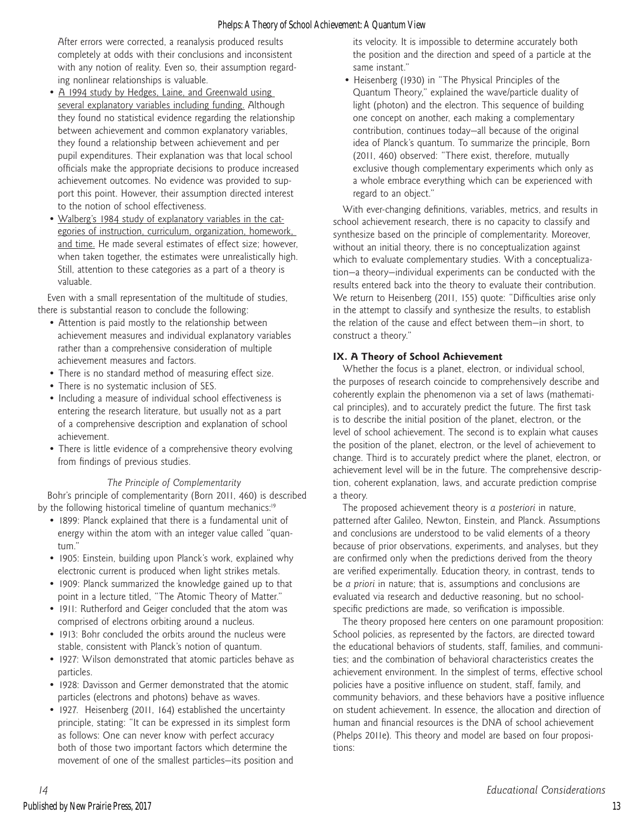After errors were corrected, a reanalysis produced results completely at odds with their conclusions and inconsistent with any notion of reality. Even so, their assumption regarding nonlinear relationships is valuable.

- A 1994 study by Hedges, Laine, and Greenwald using several explanatory variables including funding. Although they found no statistical evidence regarding the relationship between achievement and common explanatory variables, they found a relationship between achievement and per pupil expenditures. Their explanation was that local school officials make the appropriate decisions to produce increased achievement outcomes. No evidence was provided to support this point. However, their assumption directed interest to the notion of school effectiveness.
- Walberg's 1984 study of explanatory variables in the categories of instruction, curriculum, organization, homework, and time. He made several estimates of effect size; however, when taken together, the estimates were unrealistically high. Still, attention to these categories as a part of a theory is valuable.

Even with a small representation of the multitude of studies, there is substantial reason to conclude the following:

- Attention is paid mostly to the relationship between achievement measures and individual explanatory variables rather than a comprehensive consideration of multiple achievement measures and factors.
- There is no standard method of measuring effect size.
- There is no systematic inclusion of SES.
- Including a measure of individual school effectiveness is entering the research literature, but usually not as a part of a comprehensive description and explanation of school achievement.
- There is little evidence of a comprehensive theory evolving from findings of previous studies.

#### *The Principle of Complementarity*

Bohr's principle of complementarity (Born 2011, 460) is described by the following historical timeline of quantum mechanics:<sup>19</sup>

- 1899: Planck explained that there is a fundamental unit of energy within the atom with an integer value called "quantum."
- 1905: Einstein, building upon Planck's work, explained why electronic current is produced when light strikes metals.
- 1909: Planck summarized the knowledge gained up to that point in a lecture titled, "The Atomic Theory of Matter."
- 1911: Rutherford and Geiger concluded that the atom was comprised of electrons orbiting around a nucleus.
- 1913: Bohr concluded the orbits around the nucleus were stable, consistent with Planck's notion of quantum.
- 1927: Wilson demonstrated that atomic particles behave as particles.
- 1928: Davisson and Germer demonstrated that the atomic particles (electrons and photons) behave as waves.
- 1927. Heisenberg (2011, 164) established the uncertainty principle, stating: "It can be expressed in its simplest form as follows: One can never know with perfect accuracy both of those two important factors which determine the movement of one of the smallest particles—its position and

its velocity. It is impossible to determine accurately both the position and the direction and speed of a particle at the same instant."

• Heisenberg (1930) in "The Physical Principles of the Quantum Theory," explained the wave/particle duality of light (photon) and the electron. This sequence of building one concept on another, each making a complementary contribution, continues today—all because of the original idea of Planck's quantum. To summarize the principle, Born (2011, 460) observed: "There exist, therefore, mutually exclusive though complementary experiments which only as a whole embrace everything which can be experienced with regard to an object."

With ever-changing definitions, variables, metrics, and results in school achievement research, there is no capacity to classify and synthesize based on the principle of complementarity. Moreover, without an initial theory, there is no conceptualization against which to evaluate complementary studies. With a conceptualization—a theory—individual experiments can be conducted with the results entered back into the theory to evaluate their contribution. We return to Heisenberg (2011, 155) quote: "Difficulties arise only in the attempt to classify and synthesize the results, to establish the relation of the cause and effect between them—in short, to construct a theory."

# **IX. A Theory of School Achievement**

Whether the focus is a planet, electron, or individual school, the purposes of research coincide to comprehensively describe and coherently explain the phenomenon via a set of laws (mathematical principles), and to accurately predict the future. The first task is to describe the initial position of the planet, electron, or the level of school achievement. The second is to explain what causes the position of the planet, electron, or the level of achievement to change. Third is to accurately predict where the planet, electron, or achievement level will be in the future. The comprehensive description, coherent explanation, laws, and accurate prediction comprise a theory.

The proposed achievement theory is *a posteriori* in nature, patterned after Galileo, Newton, Einstein, and Planck. Assumptions and conclusions are understood to be valid elements of a theory because of prior observations, experiments, and analyses, but they are confirmed only when the predictions derived from the theory are verified experimentally. Education theory, in contrast, tends to be *a priori* in nature; that is, assumptions and conclusions are evaluated via research and deductive reasoning, but no schoolspecific predictions are made, so verification is impossible.

The theory proposed here centers on one paramount proposition: School policies, as represented by the factors, are directed toward the educational behaviors of students, staff, families, and communities; and the combination of behavioral characteristics creates the achievement environment. In the simplest of terms, effective school policies have a positive influence on student, staff, family, and community behaviors, and these behaviors have a positive influence on student achievement. In essence, the allocation and direction of human and financial resources is the DNA of school achievement (Phelps 2011e). This theory and model are based on four propositions: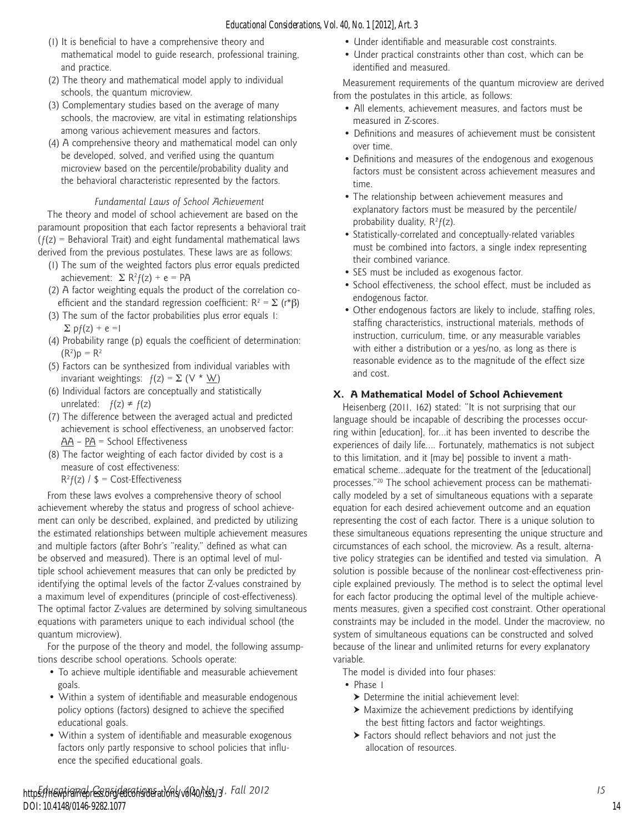- (1) It is beneficial to have a comprehensive theory and mathematical model to guide research, professional training, and practice.
- (2) The theory and mathematical model apply to individual schools, the quantum microview.
- (3) Complementary studies based on the average of many schools, the macroview, are vital in estimating relationships among various achievement measures and factors.
- (4) A comprehensive theory and mathematical model can only be developed, solved, and verified using the quantum microview based on the percentile/probability duality and the behavioral characteristic represented by the factors.

#### *Fundamental Laws of School Achievement*

The theory and model of school achievement are based on the paramount proposition that each factor represents a behavioral trait  $(f(z))$  = Behavioral Trait) and eight fundamental mathematical laws derived from the previous postulates. These laws are as follows:

- (1) The sum of the weighted factors plus error equals predicted achievement:  $\Sigma R^2 f(z) + e = PA$
- (2) A factor weighting equals the product of the correlation coefficient and the standard regression coefficient:  $R^2 = \sum (r^* \beta)$
- (3) The sum of the factor probabilities plus error equals 1:  $\sum$  pf(z) + e =1
- (4) Probability range (p) equals the coefficient of determination:  $(R^2)p = R^2$
- (5) Factors can be synthesized from individual variables with invariant weightings:  $f(z) = \sum (V * W)$
- (6) Individual factors are conceptually and statistically unrelated:  $f(z) \neq f(z)$
- (7) The difference between the averaged actual and predicted achievement is school effectiveness, an unobserved factor: AA – PA = School Effectiveness
- (8) The factor weighting of each factor divided by cost is a measure of cost effectiveness:
	- $R^2f(z)$  /  $\$$  = Cost-Effectiveness

From these laws evolves a comprehensive theory of school achievement whereby the status and progress of school achievement can only be described, explained, and predicted by utilizing the estimated relationships between multiple achievement measures and multiple factors (after Bohr's "reality," defined as what can be observed and measured). There is an optimal level of multiple school achievement measures that can only be predicted by identifying the optimal levels of the factor Z-values constrained by a maximum level of expenditures (principle of cost-effectiveness). The optimal factor Z-values are determined by solving simultaneous equations with parameters unique to each individual school (the quantum microview).

For the purpose of the theory and model, the following assumptions describe school operations. Schools operate:

- To achieve multiple identifiable and measurable achievement goals.
- Within a system of identifiable and measurable endogenous policy options (factors) designed to achieve the specified educational goals.
- Within a system of identifiable and measurable exogenous factors only partly responsive to school policies that influence the specified educational goals.
- Under identifiable and measurable cost constraints.
- Under practical constraints other than cost, which can be identified and measured.

Measurement requirements of the quantum microview are derived from the postulates in this article, as follows:

- All elements, achievement measures, and factors must be measured in Z-scores.
- Definitions and measures of achievement must be consistent over time.
- Definitions and measures of the endogenous and exogenous factors must be consistent across achievement measures and time.
- The relationship between achievement measures and explanatory factors must be measured by the percentile/ probability duality,  $R^2f(z)$ .
- Statistically-correlated and conceptually-related variables must be combined into factors, a single index representing their combined variance.
- SES must be included as exogenous factor.
- School effectiveness, the school effect, must be included as endogenous factor.
- Other endogenous factors are likely to include, staffing roles, staffing characteristics, instructional materials, methods of instruction, curriculum, time, or any measurable variables with either a distribution or a yes/no, as long as there is reasonable evidence as to the magnitude of the effect size and cost.

#### **X. A Mathematical Model of School Achievement**

Heisenberg (2011, 162) stated: "It is not surprising that our language should be incapable of describing the processes occurring within [education], for…it has been invented to describe the experiences of daily life…. Fortunately, mathematics is not subject to this limitation, and it [may be] possible to invent a mathematical scheme…adequate for the treatment of the [educational] processes."20 The school achievement process can be mathematically modeled by a set of simultaneous equations with a separate equation for each desired achievement outcome and an equation representing the cost of each factor. There is a unique solution to these simultaneous equations representing the unique structure and circumstances of each school, the microview. As a result, alternative policy strategies can be identified and tested via simulation. A solution is possible because of the nonlinear cost-effectiveness principle explained previously. The method is to select the optimal level for each factor producing the optimal level of the multiple achievements measures, given a specified cost constraint. Other operational constraints may be included in the model. Under the macroview, no system of simultaneous equations can be constructed and solved because of the linear and unlimited returns for every explanatory variable.

The model is divided into four phases:

- Phase 1
	- Determine the initial achievement level:
	- Maximize the achievement predictions by identifying the best fitting factors and factor weightings.
	- Factors should reflect behaviors and not just the allocation of resources.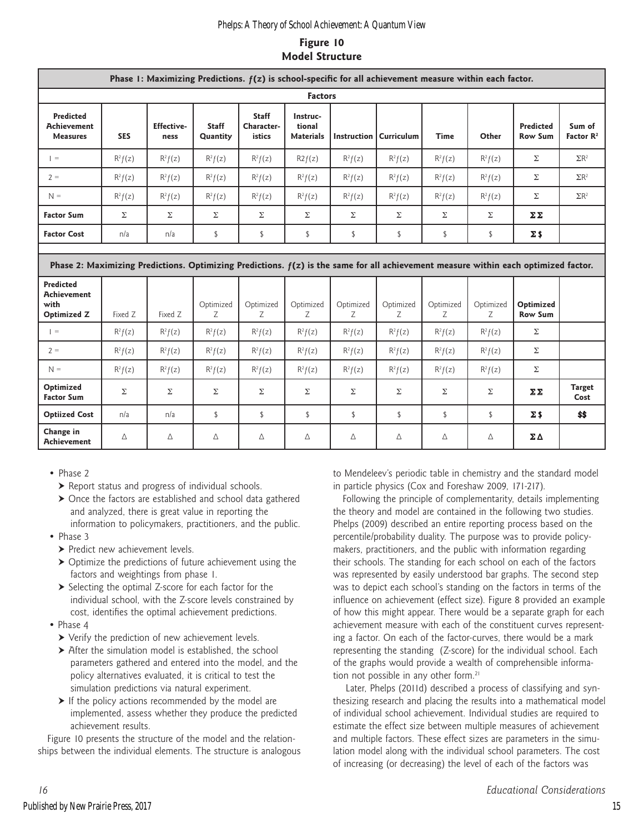# **Figure 10 Model Structure**

| Phase I: Maximizing Predictions. $f(z)$ is school-specific for all achievement measure within each factor. |                                                                                                                                       |                           |                          |                                      |                                        |                |                                 |                |                |                                    |                                 |
|------------------------------------------------------------------------------------------------------------|---------------------------------------------------------------------------------------------------------------------------------------|---------------------------|--------------------------|--------------------------------------|----------------------------------------|----------------|---------------------------------|----------------|----------------|------------------------------------|---------------------------------|
| <b>Factors</b>                                                                                             |                                                                                                                                       |                           |                          |                                      |                                        |                |                                 |                |                |                                    |                                 |
| <b>Predicted</b><br><b>Achievement</b><br><b>Measures</b>                                                  | <b>SES</b>                                                                                                                            | <b>Effective-</b><br>ness | <b>Staff</b><br>Quantity | <b>Staff</b><br>Character-<br>istics | Instruc-<br>tional<br><b>Materials</b> |                | <b>Instruction   Curriculum</b> | Time           | Other          | <b>Predicted</b><br><b>Row Sum</b> | Sum of<br>Factor $\mathbb{R}^2$ |
| $=$                                                                                                        | $R^2f(z)$                                                                                                                             | $R^2f(z)$                 | $R^2f(z)$                | $R^2f(z)$                            | R2f(z)                                 | $R^2f(z)$      | $R^2f(z)$                       | $R^2f(z)$      | $R^2f(z)$      | Σ                                  | $\Sigma$ R <sup>2</sup>         |
| $2 =$                                                                                                      | $R^2f(z)$                                                                                                                             | $R^2f(z)$                 | $R^2f(z)$                | $R^2f(z)$                            | $R^2f(z)$                              | $R^2f(z)$      | $R^2f(z)$                       | $R^2f(z)$      | $R^2f(z)$      | Σ                                  | $\Sigma$ R <sup>2</sup>         |
| $N =$                                                                                                      | $R^2f(z)$                                                                                                                             | $R^2f(z)$                 | $R^2f(z)$                | $R^2f(z)$                            | $R^2f(z)$                              | $R^2f(z)$      | $R^2f(z)$                       | $R^2f(z)$      | $R^2f(z)$      | Σ                                  | $\Sigma$ R <sup>2</sup>         |
| <b>Factor Sum</b>                                                                                          | Σ                                                                                                                                     | Σ                         | Σ                        | Σ                                    | Σ                                      | Σ              | Σ                               | Σ              | Σ              | ΣΣ                                 |                                 |
| <b>Factor Cost</b>                                                                                         | n/a                                                                                                                                   | n/a                       | \$                       | \$                                   | \$                                     | \$             | \$                              | \$             | \$             | $\Sigma$ \$                        |                                 |
|                                                                                                            | Phase 2: Maximizing Predictions. Optimizing Predictions. $f(z)$ is the same for all achievement measure within each optimized factor. |                           |                          |                                      |                                        |                |                                 |                |                |                                    |                                 |
| <b>Predicted</b><br><b>Achievement</b><br>with<br><b>Optimized Z</b>                                       | Fixed Z                                                                                                                               | Fixed Z                   | Optimized<br>Z           | Optimized<br>Z                       | Optimized<br>Z                         | Optimized<br>Z | Optimized<br>Z                  | Optimized<br>Z | Optimized<br>Z | Optimized<br><b>Row Sum</b>        |                                 |
| $\vert =$                                                                                                  | $R^2f(z)$                                                                                                                             | $R^2f(z)$                 | $R^2f(z)$                | $R^2f(z)$                            | $R^2f(z)$                              | $R^2f(z)$      | $R^2f(z)$                       | $R^2f(z)$      | $R^2f(z)$      | Σ                                  |                                 |
| $2 =$                                                                                                      | $R^2f(z)$                                                                                                                             | $R^2f(z)$                 | $R^2f(z)$                | $R^2f(z)$                            | $R^2f(z)$                              | $R^2f(z)$      | $R^2f(z)$                       | $R^2f(z)$      | $R^2f(z)$      | Σ                                  |                                 |
| $N =$                                                                                                      | $R^2f(z)$                                                                                                                             | $R^2f(z)$                 | $R^2f(z)$                | $R^2f(z)$                            | $R^2f(z)$                              | $R^2f(z)$      | $R^2f(z)$                       | $R^2f(z)$      | $R^2f(z)$      | $\Sigma$                           |                                 |
| Optimized<br><b>Factor Sum</b>                                                                             | Σ                                                                                                                                     | Σ                         | Σ                        | Σ                                    | Σ                                      | Σ              | Σ                               | Σ              | Σ              | ΣΣ                                 | <b>Target</b><br>Cost           |
| <b>Optiized Cost</b>                                                                                       | n/a                                                                                                                                   | n/a                       | \$                       | \$                                   | \$                                     | \$             | \$                              | \$             | \$             | $\Sigma$ \$                        | \$\$                            |
| Change in<br><b>Achievement</b>                                                                            | Δ                                                                                                                                     | Δ                         | Δ                        | $\Delta$                             | $\Delta$                               | Δ              | Δ                               | Δ              | Δ              | ΣΔ                                 |                                 |

#### • Phase 2

- $\blacktriangleright$  Report status and progress of individual schools.
- ▶ Once the factors are established and school data gathered and analyzed, there is great value in reporting the information to policymakers, practitioners, and the public.
- Phase 3
	- > Predict new achievement levels.
	- $\triangleright$  Optimize the predictions of future achievement using the factors and weightings from phase 1.
	- $\triangleright$  Selecting the optimal Z-score for each factor for the individual school, with the Z-score levels constrained by cost, identifies the optimal achievement predictions.
- Phase 4
	- Verify the prediction of new achievement levels.
	- After the simulation model is established, the school parameters gathered and entered into the model, and the policy alternatives evaluated, it is critical to test the simulation predictions via natural experiment.
	- $\triangleright$  If the policy actions recommended by the model are implemented, assess whether they produce the predicted achievement results.

Figure 10 presents the structure of the model and the relationships between the individual elements. The structure is analogous to Mendeleev's periodic table in chemistry and the standard model in particle physics (Cox and Foreshaw 2009, 171-217).

Following the principle of complementarity, details implementing the theory and model are contained in the following two studies. Phelps (2009) described an entire reporting process based on the percentile/probability duality. The purpose was to provide policymakers, practitioners, and the public with information regarding their schools. The standing for each school on each of the factors was represented by easily understood bar graphs. The second step was to depict each school's standing on the factors in terms of the influence on achievement (effect size). Figure 8 provided an example of how this might appear. There would be a separate graph for each achievement measure with each of the constituent curves representing a factor. On each of the factor-curves, there would be a mark representing the standing (Z-score) for the individual school. Each of the graphs would provide a wealth of comprehensible information not possible in any other form.<sup>21</sup>

 Later, Phelps (2011d) described a process of classifying and synthesizing research and placing the results into a mathematical model of individual school achievement. Individual studies are required to estimate the effect size between multiple measures of achievement and multiple factors. These effect sizes are parameters in the simulation model along with the individual school parameters. The cost of increasing (or decreasing) the level of each of the factors was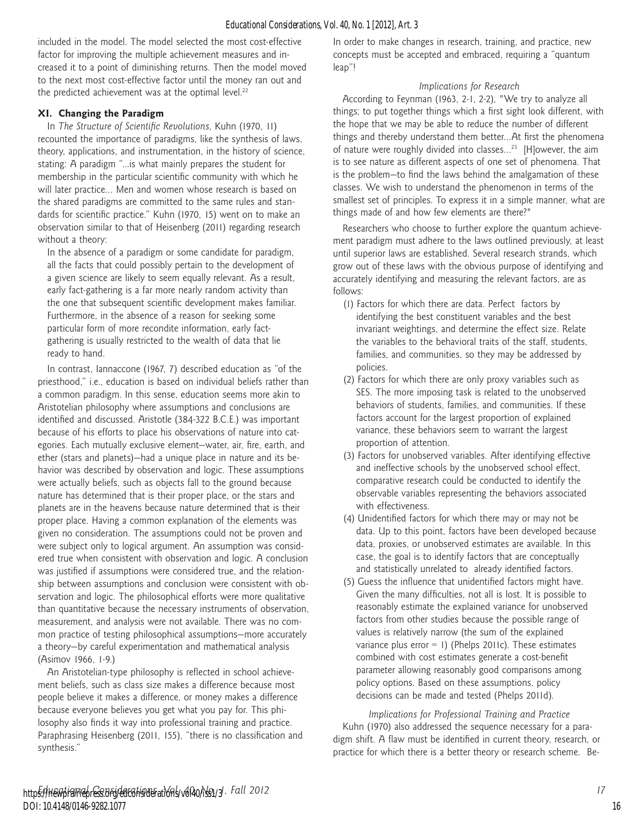included in the model. The model selected the most cost-effective factor for improving the multiple achievement measures and increased it to a point of diminishing returns. Then the model moved to the next most cost-effective factor until the money ran out and the predicted achievement was at the optimal level.<sup>22</sup>

# **XI. Changing the Paradigm**

In *The Structure of Scientific Revolutions*, Kuhn (1970, 11) recounted the importance of paradigms, like the synthesis of laws, theory, applications, and instrumentation, in the history of science, stating: A paradigm "...is what mainly prepares the student for membership in the particular scientific community with which he will later practice… Men and women whose research is based on the shared paradigms are committed to the same rules and standards for scientific practice." Kuhn (1970, 15) went on to make an observation similar to that of Heisenberg (2011) regarding research without a theory:

In the absence of a paradigm or some candidate for paradigm, all the facts that could possibly pertain to the development of a given science are likely to seem equally relevant. As a result, early fact-gathering is a far more nearly random activity than the one that subsequent scientific development makes familiar. Furthermore, in the absence of a reason for seeking some particular form of more recondite information, early factgathering is usually restricted to the wealth of data that lie ready to hand.

In contrast, Iannaccone (1967, 7) described education as "of the priesthood," i.e., education is based on individual beliefs rather than a common paradigm. In this sense, education seems more akin to Aristotelian philosophy where assumptions and conclusions are identified and discussed. Aristotle (384-322 B.C.E.) was important because of his efforts to place his observations of nature into categories. Each mutually exclusive element—water, air, fire, earth, and ether (stars and planets)—had a unique place in nature and its behavior was described by observation and logic. These assumptions were actually beliefs, such as objects fall to the ground because nature has determined that is their proper place, or the stars and planets are in the heavens because nature determined that is their proper place. Having a common explanation of the elements was given no consideration. The assumptions could not be proven and were subject only to logical argument. An assumption was considered true when consistent with observation and logic. A conclusion was justified if assumptions were considered true, and the relationship between assumptions and conclusion were consistent with observation and logic. The philosophical efforts were more qualitative than quantitative because the necessary instruments of observation, measurement, and analysis were not available. There was no common practice of testing philosophical assumptions—more accurately a theory—by careful experimentation and mathematical analysis (Asimov 1966, 1-9.)

An Aristotelian-type philosophy is reflected in school achievement beliefs, such as class size makes a difference because most people believe it makes a difference, or money makes a difference because everyone believes you get what you pay for. This philosophy also finds it way into professional training and practice. Paraphrasing Heisenberg (2011, 155), "there is no classification and synthesis."

In order to make changes in research, training, and practice, new concepts must be accepted and embraced, requiring a "quantum leap"!

# *Implications for Research*

According to Feynman (1963, 2-1, 2-2), "We try to analyze all things; to put together things which a first sight look different, with the hope that we may be able to reduce the number of different things and thereby understand them better…At first the phenomena of nature were roughly divided into classes…23 [H]owever, the aim is to see nature as different aspects of one set of phenomena. That is the problem—to find the laws behind the amalgamation of these classes. We wish to understand the phenomenon in terms of the smallest set of principles. To express it in a simple manner, what are things made of and how few elements are there?"

Researchers who choose to further explore the quantum achievement paradigm must adhere to the laws outlined previously, at least until superior laws are established. Several research strands, which grow out of these laws with the obvious purpose of identifying and accurately identifying and measuring the relevant factors, are as follows:

- (1) Factors for which there are data. Perfect factors by identifying the best constituent variables and the best invariant weightings, and determine the effect size. Relate the variables to the behavioral traits of the staff, students, families, and communities, so they may be addressed by policies.
- (2) Factors for which there are only proxy variables such as SES. The more imposing task is related to the unobserved behaviors of students, families, and communities. If these factors account for the largest proportion of explained variance, these behaviors seem to warrant the largest proportion of attention.
- (3) Factors for unobserved variables. After identifying effective and ineffective schools by the unobserved school effect, comparative research could be conducted to identify the observable variables representing the behaviors associated with effectiveness.
- (4) Unidentified factors for which there may or may not be data. Up to this point, factors have been developed because data, proxies, or unobserved estimates are available. In this case, the goal is to identify factors that are conceptually and statistically unrelated to already identified factors.
- (5) Guess the influence that unidentified factors might have. Given the many difficulties, not all is lost. It is possible to reasonably estimate the explained variance for unobserved factors from other studies because the possible range of values is relatively narrow (the sum of the explained variance plus error = 1) (Phelps 2011c). These estimates combined with cost estimates generate a cost-benefit parameter allowing reasonably good comparisons among policy options. Based on these assumptions, policy decisions can be made and tested (Phelps 2011d).

*Implications for Professional Training and Practice* Kuhn (1970) also addressed the sequence necessary for a paradigm shift. A flaw must be identified in current theory, research, or practice for which there is a better theory or research scheme. Be-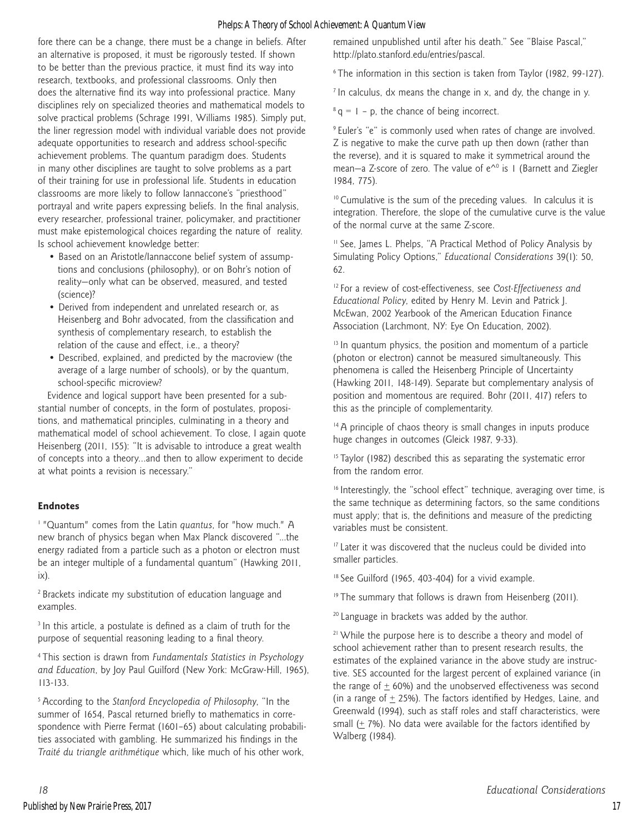fore there can be a change, there must be a change in beliefs. After an alternative is proposed, it must be rigorously tested. If shown to be better than the previous practice, it must find its way into research, textbooks, and professional classrooms. Only then does the alternative find its way into professional practice. Many disciplines rely on specialized theories and mathematical models to solve practical problems (Schrage 1991, Williams 1985). Simply put, the liner regression model with individual variable does not provide adequate opportunities to research and address school-specific achievement problems. The quantum paradigm does. Students in many other disciplines are taught to solve problems as a part of their training for use in professional life. Students in education classrooms are more likely to follow Iannaccone's "priesthood" portrayal and write papers expressing beliefs. In the final analysis, every researcher, professional trainer, policymaker, and practitioner must make epistemological choices regarding the nature of reality. Is school achievement knowledge better:

- Based on an Aristotle/Iannaccone belief system of assumptions and conclusions (philosophy), or on Bohr's notion of reality—only what can be observed, measured, and tested (science)?
- Derived from independent and unrelated research or, as Heisenberg and Bohr advocated, from the classification and synthesis of complementary research, to establish the relation of the cause and effect, i.e., a theory?
- Described, explained, and predicted by the macroview (the average of a large number of schools), or by the quantum, school-specific microview?

Evidence and logical support have been presented for a substantial number of concepts, in the form of postulates, propositions, and mathematical principles, culminating in a theory and mathematical model of school achievement. To close, I again quote Heisenberg (2011, 155): "It is advisable to introduce a great wealth of concepts into a theory…and then to allow experiment to decide at what points a revision is necessary."

#### **Endnotes**

1 "Quantum" comes from the Latin *quantus*, for "how much." A new branch of physics began when Max Planck discovered "...the energy radiated from a particle such as a photon or electron must be an integer multiple of a fundamental quantum" (Hawking 2011, ix).

2 Brackets indicate my substitution of education language and examples.

<sup>3</sup> In this article, a postulate is defined as a claim of truth for the purpose of sequential reasoning leading to a final theory.

4 This section is drawn from *Fundamentals Statistics in Psychology and Education*, by Joy Paul Guilford (New York: McGraw-Hill, 1965), 113-133.

5 According to the *Stanford Encyclopedia of Philosophy*, "In the summer of 1654, Pascal returned briefly to mathematics in correspondence with Pierre Fermat (1601–65) about calculating probabilities associated with gambling. He summarized his findings in the *Traité du triangle arithmétique* which, like much of his other work,

remained unpublished until after his death." See "Blaise Pascal," http://plato.stanford.edu/entries/pascal.

6 The information in this section is taken from Taylor (1982, 99-127).

 $7$  In calculus, dx means the change in x, and dy, the change in y.

 $8 q = 1 - p$ , the chance of being incorrect.

9 Euler's "e" is commonly used when rates of change are involved. Z is negative to make the curve path up then down (rather than the reverse), and it is squared to make it symmetrical around the mean—a Z-score of zero. The value of  $e^{\Lambda_0}$  is 1 (Barnett and Ziegler 1984, 775).

<sup>10</sup> Cumulative is the sum of the preceding values. In calculus it is integration. Therefore, the slope of the cumulative curve is the value of the normal curve at the same Z-score.

<sup>11</sup> See, James L. Phelps, "A Practical Method of Policy Analysis by Simulating Policy Options," *Educational Considerations* 39(1): 50, 62.

12 For a review of cost-effectiveness, see *Cost-Effectiveness and Educational Policy*, edited by Henry M. Levin and Patrick J. McEwan, 2002 Yearbook of the American Education Finance Association (Larchmont, NY: Eye On Education, 2002).

<sup>13</sup> In quantum physics, the position and momentum of a particle (photon or electron) cannot be measured simultaneously. This phenomena is called the Heisenberg Principle of Uncertainty (Hawking 2011, 148-149). Separate but complementary analysis of position and momentous are required. Bohr (2011, 417) refers to this as the principle of complementarity.

<sup>14</sup> A principle of chaos theory is small changes in inputs produce huge changes in outcomes (Gleick 1987, 9-33).

 $15$  Taylor (1982) described this as separating the systematic error from the random error.

<sup>16</sup> Interestingly, the "school effect" technique, averaging over time, is the same technique as determining factors, so the same conditions must apply; that is, the definitions and measure of the predicting variables must be consistent.

<sup>17</sup> Later it was discovered that the nucleus could be divided into smaller particles.

<sup>18</sup> See Guilford (1965, 403-404) for a vivid example.

<sup>19</sup> The summary that follows is drawn from Heisenberg (2011).

<sup>20</sup> Language in brackets was added by the author.

<sup>21</sup> While the purpose here is to describe a theory and model of school achievement rather than to present research results, the estimates of the explained variance in the above study are instructive. SES accounted for the largest percent of explained variance (in the range of  $\pm$  60%) and the unobserved effectiveness was second (in a range of  $\pm$  25%). The factors identified by Hedges, Laine, and Greenwald (1994), such as staff roles and staff characteristics, were small  $(± 7%)$ . No data were available for the factors identified by Walberg (1984).